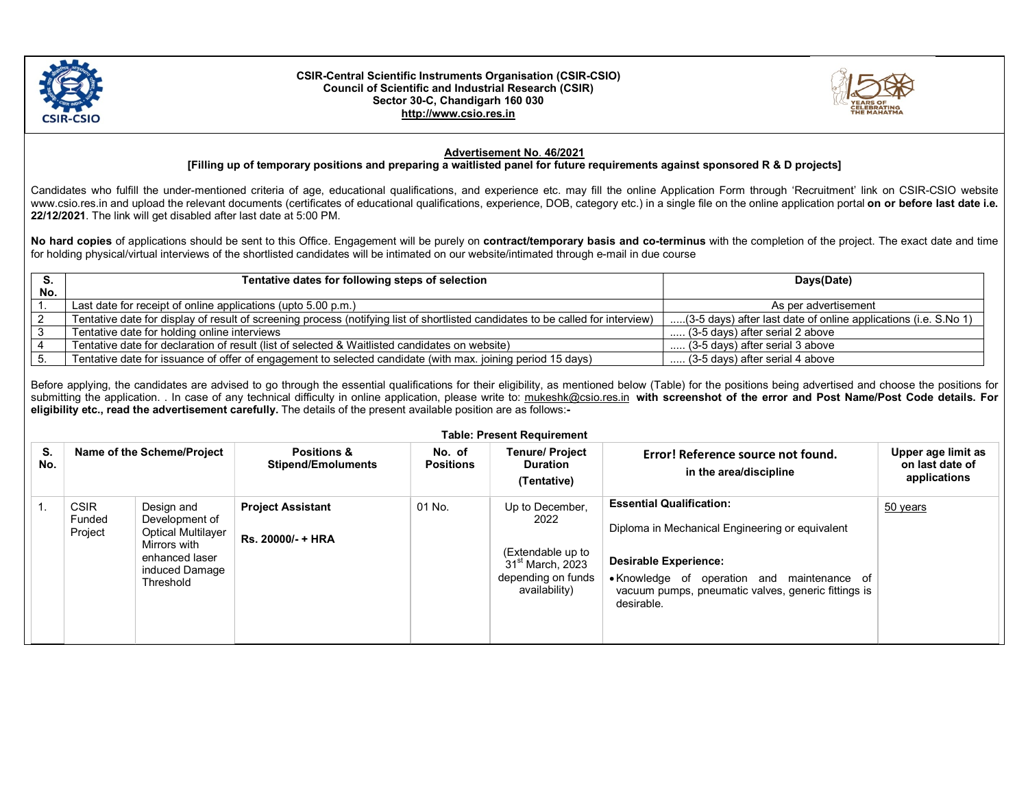

## CSIR-Central Scientific Instruments Organisation (CSIR-CSIO) Council of Scientific and Industrial Research (CSIR) Sector 30-C, Chandigarh 160 030 http://www.csio.res.in



## Advertisement No. 46/2021

## [Filling up of temporary positions and preparing a waitlisted panel for future requirements against sponsored R & D projects]

Candidates who fulfill the under-mentioned criteria of age, educational qualifications, and experience etc. may fill the online Application Form through 'Recruitment' link on CSIR-CSIO website www.csio.res.in and upload the relevant documents (certificates of educational qualifications, experience, DOB, category etc.) in a single file on the online application portal on or before last date i.e. 22/12/2021. The link will get disabled after last date at 5:00 PM.

No hard copies of applications should be sent to this Office. Engagement will be purely on contract/temporary basis and co-terminus with the completion of the project. The exact date and time for holding physical/virtual interviews of the shortlisted candidates will be intimated on our website/intimated through e-mail in due course

| $\mathbf{r}$ | Tentative dates for following steps of selection                                                                                | Days(Date)                                                      |  |
|--------------|---------------------------------------------------------------------------------------------------------------------------------|-----------------------------------------------------------------|--|
| No.          |                                                                                                                                 |                                                                 |  |
|              | Last date for receipt of online applications (upto $5.00$ p.m.)                                                                 | As per advertisement                                            |  |
|              | Tentative date for display of result of screening process (notifying list of shortlisted candidates to be called for interview) | (3-5 days) after last date of online applications (i.e. S.No 1) |  |
|              | Tentative date for holding online interviews                                                                                    | (3-5 days) after serial 2 above                                 |  |
|              | Tentative date for declaration of result (list of selected & Waitlisted candidates on website)                                  | (3-5 days) after serial 3 above                                 |  |
|              | Tentative date for issuance of offer of engagement to selected candidate (with max. joining period 15 days)                     | $\ldots$ (3-5 days) after serial 4 above                        |  |

Before applying, the candidates are advised to go through the essential qualifications for their eligibility, as mentioned below (Table) for the positions being advertised and choose the positions for submitting the application. In case of any technical difficulty in online application, please write to: mukeshk@csio.res.in with screenshot of the error and Post Name/Post Code details. For eligibility etc., read the advertisement carefully. The details of the present available position are as follows:-

|           |  |                                  | <b>Table: Present Requirement</b>                                                                                          |                                                     |                            |                                                                                                                     |                                                                                                                                                                                                                                        |                                                       |  |  |
|-----------|--|----------------------------------|----------------------------------------------------------------------------------------------------------------------------|-----------------------------------------------------|----------------------------|---------------------------------------------------------------------------------------------------------------------|----------------------------------------------------------------------------------------------------------------------------------------------------------------------------------------------------------------------------------------|-------------------------------------------------------|--|--|
| S.<br>No. |  | Name of the Scheme/Project       |                                                                                                                            | <b>Positions &amp;</b><br><b>Stipend/Emoluments</b> | No. of<br><b>Positions</b> | <b>Tenure/ Project</b><br><b>Duration</b><br>(Tentative)                                                            | Error! Reference source not found.<br>in the area/discipline                                                                                                                                                                           | Upper age limit as<br>on last date of<br>applications |  |  |
|           |  | <b>CSIR</b><br>Funded<br>Project | Design and<br>Development of<br><b>Optical Multilayer</b><br>Mirrors with<br>enhanced laser<br>induced Damage<br>Threshold | <b>Project Assistant</b><br>Rs. 20000/- + HRA       | 01 No.                     | Up to December,<br>2022<br>(Extendable up to<br>31 <sup>st</sup> March, 2023<br>depending on funds<br>availability) | <b>Essential Qualification:</b><br>Diploma in Mechanical Engineering or equivalent<br><b>Desirable Experience:</b><br>• Knowledge of operation and maintenance of<br>vacuum pumps, pneumatic valves, generic fittings is<br>desirable. | 50 years                                              |  |  |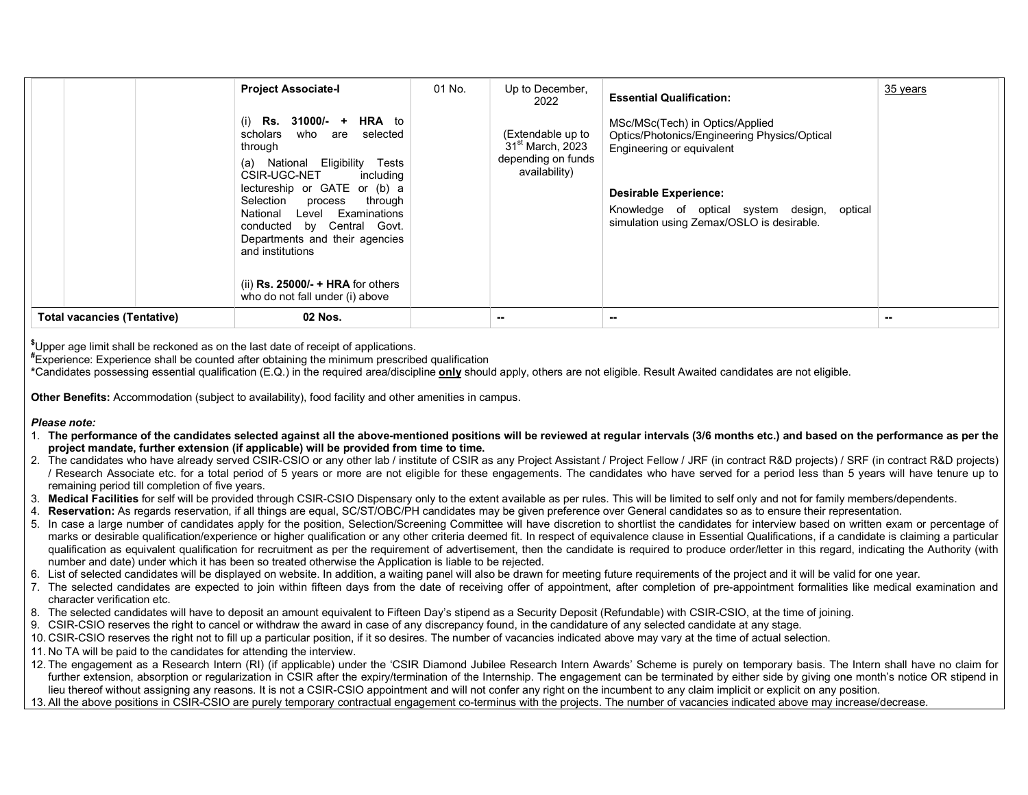|                                    | <b>Project Associate-I</b>                                                                                                                                                                                                                                                                                                                                                                    | 01 No. | Up to December,<br>2022                                                                  | <b>Essential Qualification:</b>                                                                                                                                                                                                          | 35 years |
|------------------------------------|-----------------------------------------------------------------------------------------------------------------------------------------------------------------------------------------------------------------------------------------------------------------------------------------------------------------------------------------------------------------------------------------------|--------|------------------------------------------------------------------------------------------|------------------------------------------------------------------------------------------------------------------------------------------------------------------------------------------------------------------------------------------|----------|
|                                    | <b>HRA</b> to<br>Rs.<br>$31000/- +$<br>(i)<br>scholars<br>who are<br>selected<br>through<br>National Eligibility<br>Tests<br>(a)<br>CSIR-UGC-NET<br>including<br>lectureship or GATE or (b) a<br>Selection process<br>through<br>Examinations<br>National<br>Level<br>conducted by Central Govt.<br>Departments and their agencies<br>and institutions<br>(ii) $Rs. 25000/- + HRA$ for others |        | (Extendable up to<br>31 <sup>st</sup> March, 2023<br>depending on funds<br>availability) | MSc/MSc(Tech) in Optics/Applied<br>Optics/Photonics/Engineering Physics/Optical<br>Engineering or equivalent<br><b>Desirable Experience:</b><br>Knowledge of optical system design, optical<br>simulation using Zemax/OSLO is desirable. |          |
|                                    | who do not fall under (i) above                                                                                                                                                                                                                                                                                                                                                               |        |                                                                                          |                                                                                                                                                                                                                                          |          |
| <b>Total vacancies (Tentative)</b> | 02 Nos.                                                                                                                                                                                                                                                                                                                                                                                       |        | --                                                                                       | $- -$                                                                                                                                                                                                                                    | $\sim$   |

\$Upper age limit shall be reckoned as on the last date of receipt of applications.

#Experience: Experience shall be counted after obtaining the minimum prescribed qualification

\*Candidates possessing essential qualification (E.Q.) in the required area/discipline only should apply, others are not eligible. Result Awaited candidates are not eligible.

Other Benefits: Accommodation (subject to availability), food facility and other amenities in campus.

## Please note:

- 1. The performance of the candidates selected against all the above-mentioned positions will be reviewed at regular intervals (3/6 months etc.) and based on the performance as per the project mandate, further extension (if applicable) will be provided from time to time.
- 2. The candidates who have already served CSIR-CSIO or any other lab / institute of CSIR as any Project Assistant / Project Fellow / JRF (in contract R&D projects) / SRF (in contract R&D projects) / Research Associate etc. for a total period of 5 years or more are not eligible for these engagements. The candidates who have served for a period less than 5 years will have tenure up to remaining period till completion of five years.
- 3. Medical Facilities for self will be provided through CSIR-CSIO Dispensary only to the extent available as per rules. This will be limited to self only and not for family members/dependents.
- 4. Reservation: As regards reservation, if all things are equal, SC/ST/OBC/PH candidates may be given preference over General candidates so as to ensure their representation.
- 5. In case a large number of candidates apply for the position, Selection/Screening Committee will have discretion to shortlist the candidates for interview based on written exam or percentage of marks or desirable qualification/experience or higher qualification or any other criteria deemed fit. In respect of equivalence clause in Essential Qualifications, if a candidate is claiming a particular qualification as equivalent qualification for recruitment as per the requirement of advertisement, then the candidate is required to produce order/letter in this regard, indicating the Authority (with number and date) under which it has been so treated otherwise the Application is liable to be rejected.
- 6. List of selected candidates will be displayed on website. In addition, a waiting panel will also be drawn for meeting future requirements of the project and it will be valid for one year.
- 7. The selected candidates are expected to join within fifteen days from the date of receiving offer of appointment, after completion of pre-appointment formalities like medical examination and character verification etc.
- 8. The selected candidates will have to deposit an amount equivalent to Fifteen Day's stipend as a Security Deposit (Refundable) with CSIR-CSIO, at the time of joining.
- 9. CSIR-CSIO reserves the right to cancel or withdraw the award in case of any discrepancy found, in the candidature of any selected candidate at any stage.
- 10. CSIR-CSIO reserves the right not to fill up a particular position, if it so desires. The number of vacancies indicated above may vary at the time of actual selection.
- 11. No TA will be paid to the candidates for attending the interview.
- 12. The engagement as a Research Intern (RI) (if applicable) under the 'CSIR Diamond Jubilee Research Intern Awards' Scheme is purely on temporary basis. The Intern shall have no claim for further extension, absorption or regularization in CSIR after the expiry/termination of the Internship. The engagement can be terminated by either side by giving one month's notice OR stipend in lieu thereof without assigning any reasons. It is not a CSIR-CSIO appointment and will not confer any right on the incumbent to any claim implicit or explicit on any position.
- 13. All the above positions in CSIR-CSIO are purely temporary contractual engagement co-terminus with the projects. The number of vacancies indicated above may increase/decrease.